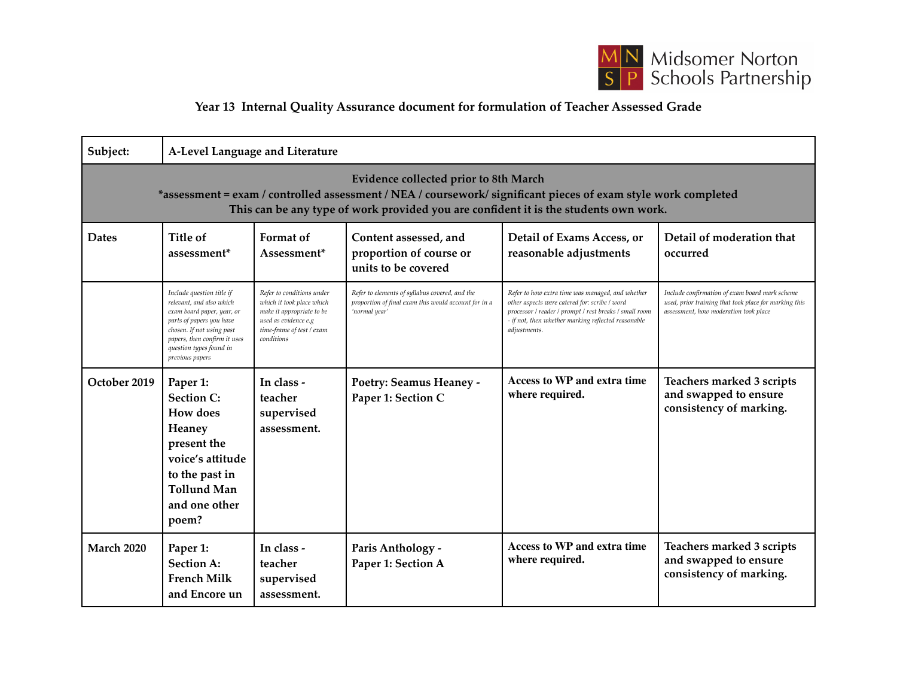

## **Year 13 Internal Quality Assurance document for formulation of Teacher Assessed Grade**

| Subject:                                                                                                                                                                                                                                        | A-Level Language and Literature                                                                                                                                                                                            |                                                                                                                                                        |                                                                                                                         |                                                                                                                                                                                                                                    |                                                                                                                                                  |  |  |  |
|-------------------------------------------------------------------------------------------------------------------------------------------------------------------------------------------------------------------------------------------------|----------------------------------------------------------------------------------------------------------------------------------------------------------------------------------------------------------------------------|--------------------------------------------------------------------------------------------------------------------------------------------------------|-------------------------------------------------------------------------------------------------------------------------|------------------------------------------------------------------------------------------------------------------------------------------------------------------------------------------------------------------------------------|--------------------------------------------------------------------------------------------------------------------------------------------------|--|--|--|
| Evidence collected prior to 8th March<br>*assessment = exam / controlled assessment / NEA / coursework/ significant pieces of exam style work completed<br>This can be any type of work provided you are confident it is the students own work. |                                                                                                                                                                                                                            |                                                                                                                                                        |                                                                                                                         |                                                                                                                                                                                                                                    |                                                                                                                                                  |  |  |  |
| <b>Dates</b>                                                                                                                                                                                                                                    | Title of<br>assessment <sup>*</sup>                                                                                                                                                                                        | Format of<br>Assessment*                                                                                                                               | Content assessed, and<br>proportion of course or<br>units to be covered                                                 | Detail of Exams Access, or<br>reasonable adjustments                                                                                                                                                                               | Detail of moderation that<br>occurred                                                                                                            |  |  |  |
|                                                                                                                                                                                                                                                 | Include question title if<br>relevant, and also which<br>exam board paper, year, or<br>parts of papers you have<br>chosen. If not using past<br>papers, then confirm it uses<br>question types found in<br>previous papers | Refer to conditions under<br>which it took place which<br>make it appropriate to be<br>used as evidence e.g<br>time-frame of test / exam<br>conditions | Refer to elements of syllabus covered, and the<br>proportion of final exam this would account for in a<br>'normal year' | Refer to how extra time was managed, and whether<br>other aspects were catered for: scribe / word<br>processor / reader / prompt / rest breaks / small room<br>- if not, then whether marking reflected reasonable<br>adjustments. | Include confirmation of exam board mark scheme<br>used, prior training that took place for marking this<br>assessment, how moderation took place |  |  |  |
| October 2019                                                                                                                                                                                                                                    | Paper 1:<br><b>Section C:</b><br><b>How does</b><br>Heaney<br>present the<br>voice's attitude<br>to the past in<br><b>Tollund Man</b><br>and one other<br>poem?                                                            | In class -<br>teacher<br>supervised<br>assessment.                                                                                                     | Poetry: Seamus Heaney -<br>Paper 1: Section C                                                                           | Access to WP and extra time<br>where required.                                                                                                                                                                                     | Teachers marked 3 scripts<br>and swapped to ensure<br>consistency of marking.                                                                    |  |  |  |
| <b>March 2020</b>                                                                                                                                                                                                                               | Paper 1:<br><b>Section A:</b><br><b>French Milk</b><br>and Encore un                                                                                                                                                       | In class -<br>teacher<br>supervised<br>assessment.                                                                                                     | Paris Anthology -<br>Paper 1: Section A                                                                                 | <b>Access to WP and extra time</b><br>where required.                                                                                                                                                                              | Teachers marked 3 scripts<br>and swapped to ensure<br>consistency of marking.                                                                    |  |  |  |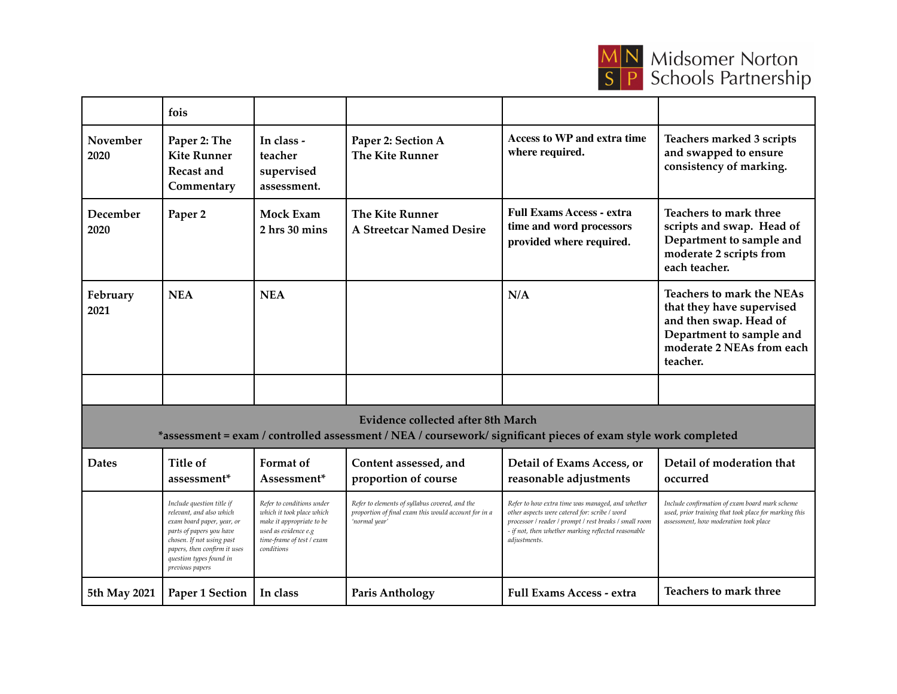

|                                                                                                                                                      | fois                                                                                                                                                                                                                       |                                                                                                                                                        |                                                                                                                         |                                                                                                                                                                                                                                    |                                                                                                                                                              |  |  |  |
|------------------------------------------------------------------------------------------------------------------------------------------------------|----------------------------------------------------------------------------------------------------------------------------------------------------------------------------------------------------------------------------|--------------------------------------------------------------------------------------------------------------------------------------------------------|-------------------------------------------------------------------------------------------------------------------------|------------------------------------------------------------------------------------------------------------------------------------------------------------------------------------------------------------------------------------|--------------------------------------------------------------------------------------------------------------------------------------------------------------|--|--|--|
| November<br>2020                                                                                                                                     | Paper 2: The<br><b>Kite Runner</b><br>Recast and<br>Commentary                                                                                                                                                             | In class -<br>teacher<br>supervised<br>assessment.                                                                                                     | Paper 2: Section A<br><b>The Kite Runner</b>                                                                            | <b>Access to WP and extra time</b><br>where required.                                                                                                                                                                              | Teachers marked 3 scripts<br>and swapped to ensure<br>consistency of marking.                                                                                |  |  |  |
| December<br>2020                                                                                                                                     | Paper <sub>2</sub>                                                                                                                                                                                                         | <b>Mock Exam</b><br>2 hrs 30 mins                                                                                                                      | <b>The Kite Runner</b><br><b>A Streetcar Named Desire</b>                                                               | <b>Full Exams Access - extra</b><br>time and word processors<br>provided where required.                                                                                                                                           | Teachers to mark three<br>scripts and swap. Head of<br>Department to sample and<br>moderate 2 scripts from<br>each teacher.                                  |  |  |  |
| February<br>2021                                                                                                                                     | <b>NEA</b>                                                                                                                                                                                                                 | <b>NEA</b>                                                                                                                                             |                                                                                                                         | N/A                                                                                                                                                                                                                                | <b>Teachers to mark the NEAs</b><br>that they have supervised<br>and then swap. Head of<br>Department to sample and<br>moderate 2 NEAs from each<br>teacher. |  |  |  |
|                                                                                                                                                      |                                                                                                                                                                                                                            |                                                                                                                                                        |                                                                                                                         |                                                                                                                                                                                                                                    |                                                                                                                                                              |  |  |  |
| Evidence collected after 8th March<br>*assessment = exam / controlled assessment / NEA / coursework/ significant pieces of exam style work completed |                                                                                                                                                                                                                            |                                                                                                                                                        |                                                                                                                         |                                                                                                                                                                                                                                    |                                                                                                                                                              |  |  |  |
| <b>Dates</b>                                                                                                                                         | <b>Title of</b><br>assessment*                                                                                                                                                                                             | Format of<br>Assessment*                                                                                                                               | Content assessed, and<br>proportion of course                                                                           | Detail of Exams Access, or<br>reasonable adjustments                                                                                                                                                                               | Detail of moderation that<br>occurred                                                                                                                        |  |  |  |
|                                                                                                                                                      | Include question title if<br>relevant, and also which<br>exam board paper, year, or<br>parts of papers you have<br>chosen. If not using past<br>papers, then confirm it uses<br>question types found in<br>previous papers | Refer to conditions under<br>which it took place which<br>make it appropriate to be<br>used as evidence e.g<br>time-frame of test / exam<br>conditions | Refer to elements of syllabus covered, and the<br>proportion of final exam this would account for in a<br>'normal year' | Refer to how extra time was managed, and whether<br>other aspects were catered for: scribe / word<br>processor / reader / prompt / rest breaks / small room<br>- if not, then whether marking reflected reasonable<br>adjustments. | Include confirmation of exam board mark scheme<br>used, prior training that took place for marking this<br>assessment, how moderation took place             |  |  |  |
| 5th May 2021                                                                                                                                         | Paper 1 Section                                                                                                                                                                                                            | In class                                                                                                                                               | <b>Paris Anthology</b>                                                                                                  | <b>Full Exams Access - extra</b>                                                                                                                                                                                                   | Teachers to mark three                                                                                                                                       |  |  |  |